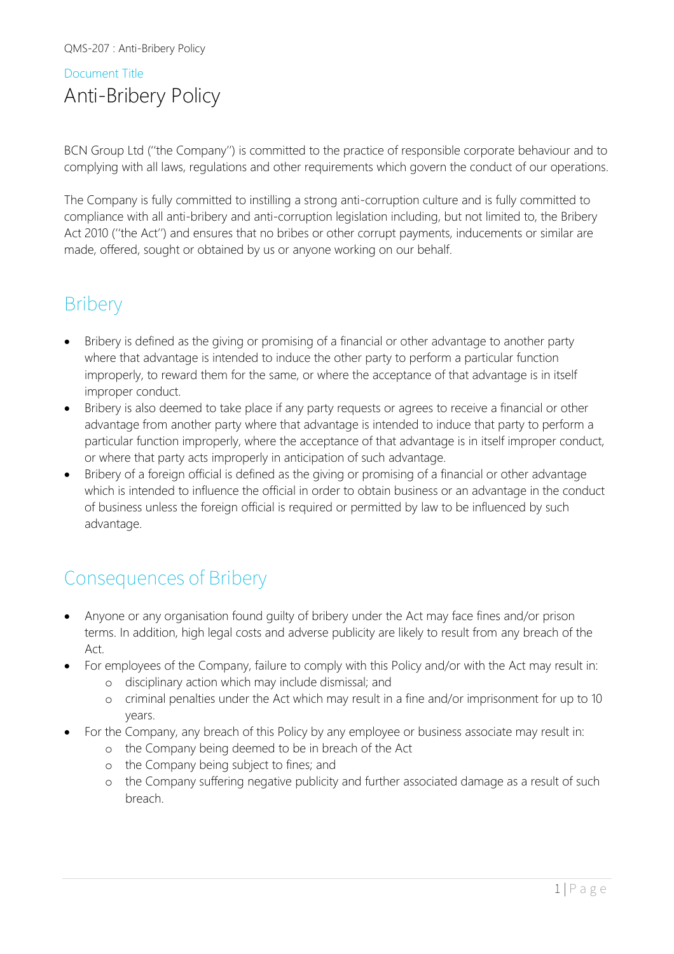### Document Title Anti-Bribery Policy

BCN Group Ltd (''the Company'') is committed to the practice of responsible corporate behaviour and to complying with all laws, regulations and other requirements which govern the conduct of our operations.

The Company is fully committed to instilling a strong anti-corruption culture and is fully committed to compliance with all anti-bribery and anti-corruption legislation including, but not limited to, the Bribery Act 2010 (''the Act'') and ensures that no bribes or other corrupt payments, inducements or similar are made, offered, sought or obtained by us or anyone working on our behalf.

## **Bribery**

- Bribery is defined as the giving or promising of a financial or other advantage to another party where that advantage is intended to induce the other party to perform a particular function improperly, to reward them for the same, or where the acceptance of that advantage is in itself improper conduct.
- Bribery is also deemed to take place if any party requests or agrees to receive a financial or other advantage from another party where that advantage is intended to induce that party to perform a particular function improperly, where the acceptance of that advantage is in itself improper conduct, or where that party acts improperly in anticipation of such advantage.
- Bribery of a foreign official is defined as the giving or promising of a financial or other advantage which is intended to influence the official in order to obtain business or an advantage in the conduct of business unless the foreign official is required or permitted by law to be influenced by such advantage.

## Consequences of Bribery

- Anyone or any organisation found guilty of bribery under the Act may face fines and/or prison terms. In addition, high legal costs and adverse publicity are likely to result from any breach of the Act.
- For employees of the Company, failure to comply with this Policy and/or with the Act may result in:
	- o disciplinary action which may include dismissal; and
	- o criminal penalties under the Act which may result in a fine and/or imprisonment for up to 10 years.
- For the Company, any breach of this Policy by any employee or business associate may result in:
	- o the Company being deemed to be in breach of the Act
	- o the Company being subject to fines; and
	- o the Company suffering negative publicity and further associated damage as a result of such breach.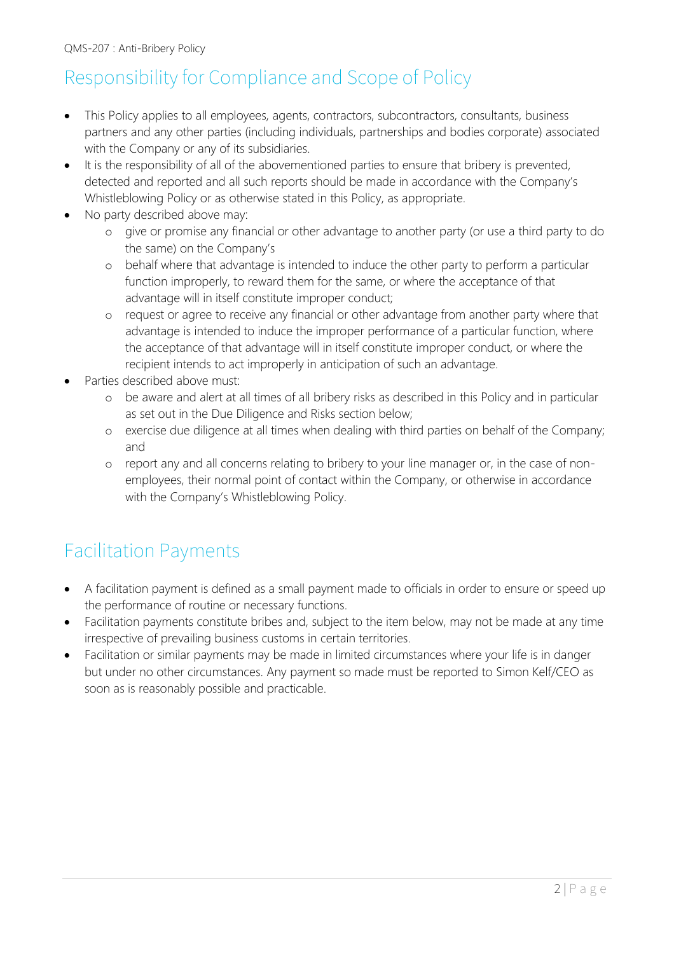# Responsibility for Compliance and Scope of Policy

- This Policy applies to all employees, agents, contractors, subcontractors, consultants, business partners and any other parties (including individuals, partnerships and bodies corporate) associated with the Company or any of its subsidiaries.
- It is the responsibility of all of the abovementioned parties to ensure that bribery is prevented, detected and reported and all such reports should be made in accordance with the Company's Whistleblowing Policy or as otherwise stated in this Policy, as appropriate.
- No party described above may:
	- o give or promise any financial or other advantage to another party (or use a third party to do the same) on the Company's
	- o behalf where that advantage is intended to induce the other party to perform a particular function improperly, to reward them for the same, or where the acceptance of that advantage will in itself constitute improper conduct;
	- o request or agree to receive any financial or other advantage from another party where that advantage is intended to induce the improper performance of a particular function, where the acceptance of that advantage will in itself constitute improper conduct, or where the recipient intends to act improperly in anticipation of such an advantage.
- Parties described above must:
	- o be aware and alert at all times of all bribery risks as described in this Policy and in particular as set out in the Due Diligence and Risks section below;
	- o exercise due diligence at all times when dealing with third parties on behalf of the Company; and
	- o report any and all concerns relating to bribery to your line manager or, in the case of nonemployees, their normal point of contact within the Company, or otherwise in accordance with the Company's Whistleblowing Policy.

# Facilitation Payments

- A facilitation payment is defined as a small payment made to officials in order to ensure or speed up the performance of routine or necessary functions.
- Facilitation payments constitute bribes and, subject to the item below, may not be made at any time irrespective of prevailing business customs in certain territories.
- Facilitation or similar payments may be made in limited circumstances where your life is in danger but under no other circumstances. Any payment so made must be reported to Simon Kelf/CEO as soon as is reasonably possible and practicable.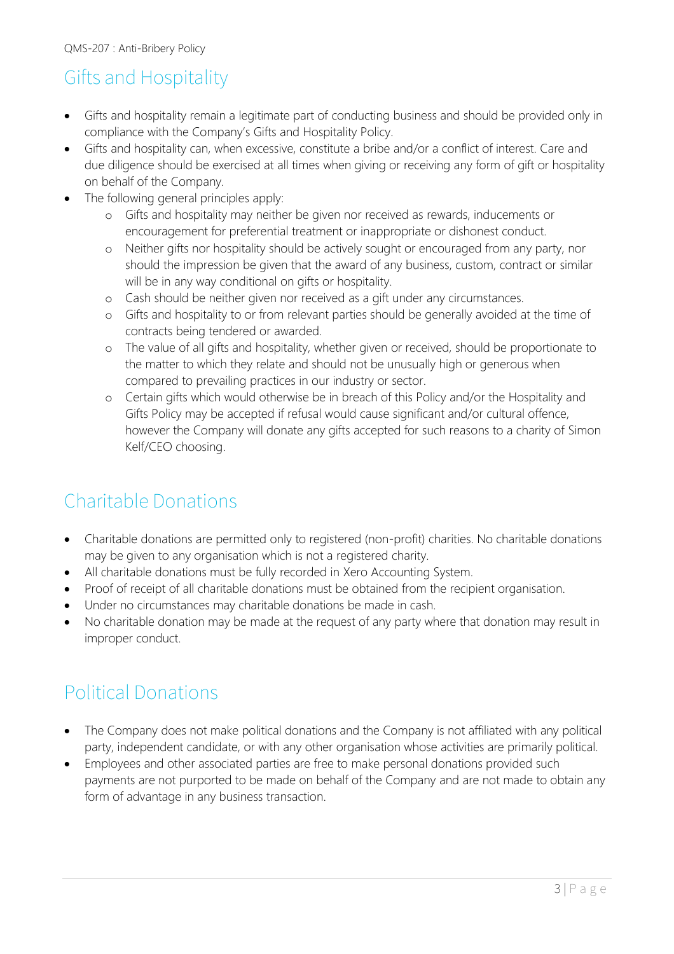# Gifts and Hospitality

- Gifts and hospitality remain a legitimate part of conducting business and should be provided only in compliance with the Company's Gifts and Hospitality Policy.
- Gifts and hospitality can, when excessive, constitute a bribe and/or a conflict of interest. Care and due diligence should be exercised at all times when giving or receiving any form of gift or hospitality on behalf of the Company.
- The following general principles apply:
	- o Gifts and hospitality may neither be given nor received as rewards, inducements or encouragement for preferential treatment or inappropriate or dishonest conduct.
	- o Neither gifts nor hospitality should be actively sought or encouraged from any party, nor should the impression be given that the award of any business, custom, contract or similar will be in any way conditional on gifts or hospitality.
	- o Cash should be neither given nor received as a gift under any circumstances.
	- o Gifts and hospitality to or from relevant parties should be generally avoided at the time of contracts being tendered or awarded.
	- o The value of all gifts and hospitality, whether given or received, should be proportionate to the matter to which they relate and should not be unusually high or generous when compared to prevailing practices in our industry or sector.
	- o Certain gifts which would otherwise be in breach of this Policy and/or the Hospitality and Gifts Policy may be accepted if refusal would cause significant and/or cultural offence, however the Company will donate any gifts accepted for such reasons to a charity of Simon Kelf/CEO choosing.

# Charitable Donations

- Charitable donations are permitted only to registered (non-profit) charities. No charitable donations may be given to any organisation which is not a registered charity.
- All charitable donations must be fully recorded in Xero Accounting System.
- Proof of receipt of all charitable donations must be obtained from the recipient organisation.
- Under no circumstances may charitable donations be made in cash.
- No charitable donation may be made at the request of any party where that donation may result in improper conduct.

## Political Donations

- The Company does not make political donations and the Company is not affiliated with any political party, independent candidate, or with any other organisation whose activities are primarily political.
- Employees and other associated parties are free to make personal donations provided such payments are not purported to be made on behalf of the Company and are not made to obtain any form of advantage in any business transaction.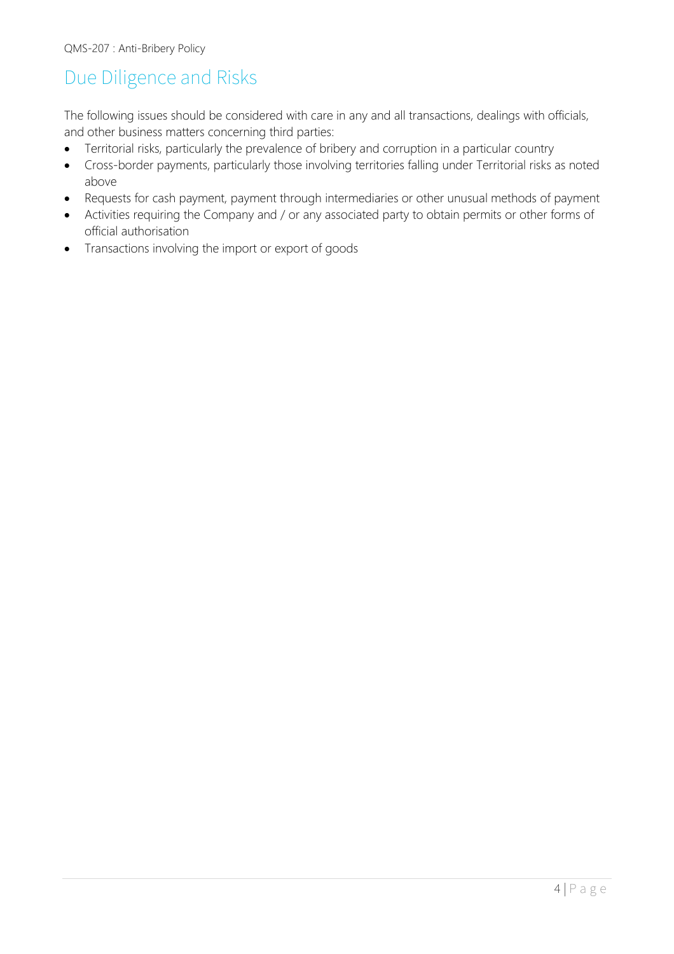## Due Diligence and Risks

The following issues should be considered with care in any and all transactions, dealings with officials, and other business matters concerning third parties:

- Territorial risks, particularly the prevalence of bribery and corruption in a particular country
- Cross-border payments, particularly those involving territories falling under Territorial risks as noted above
- Requests for cash payment, payment through intermediaries or other unusual methods of payment
- Activities requiring the Company and / or any associated party to obtain permits or other forms of official authorisation
- Transactions involving the import or export of goods